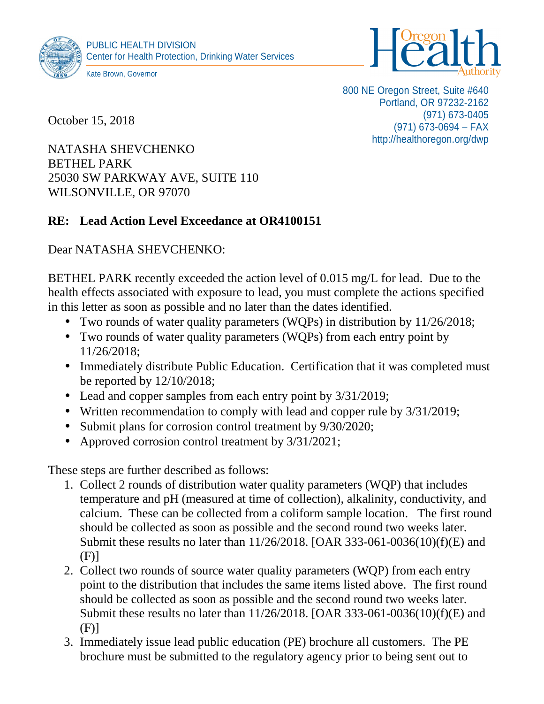



October 15, 2018

800 NE Oregon Street, Suite #640 Portland, OR 97232-2162 (971) 673-0405 (971) 673-0694 – FAX http://healthoregon.org/dwp

NATASHA SHEVCHENKO BETHEL PARK 25030 SW PARKWAY AVE, SUITE 110 WILSONVILLE, OR 97070

## **RE: Lead Action Level Exceedance at OR4100151**

Dear NATASHA SHEVCHENKO:

BETHEL PARK recently exceeded the action level of 0.015 mg/L for lead. Due to the health effects associated with exposure to lead, you must complete the actions specified in this letter as soon as possible and no later than the dates identified.

- Two rounds of water quality parameters (WQPs) in distribution by  $11/26/2018$ ;
- Two rounds of water quality parameters (WQPs) from each entry point by 11/26/2018;
- Immediately distribute Public Education. Certification that it was completed must be reported by 12/10/2018;
- Lead and copper samples from each entry point by  $3/31/2019$ ;
- Written recommendation to comply with lead and copper rule by  $3/31/2019$ ;
- Submit plans for corrosion control treatment by  $9/30/2020$ ;
- Approved corrosion control treatment by  $3/31/2021$ ;

These steps are further described as follows:

- 1. Collect 2 rounds of distribution water quality parameters (WQP) that includes temperature and pH (measured at time of collection), alkalinity, conductivity, and calcium. These can be collected from a coliform sample location. The first round should be collected as soon as possible and the second round two weeks later. Submit these results no later than 11/26/2018. [OAR 333-061-0036(10)(f)(E) and (F)]
- 2. Collect two rounds of source water quality parameters (WQP) from each entry point to the distribution that includes the same items listed above. The first round should be collected as soon as possible and the second round two weeks later. Submit these results no later than 11/26/2018. [OAR 333-061-0036(10)(f)(E) and (F)]
- 3. Immediately issue lead public education (PE) brochure all customers. The PE brochure must be submitted to the regulatory agency prior to being sent out to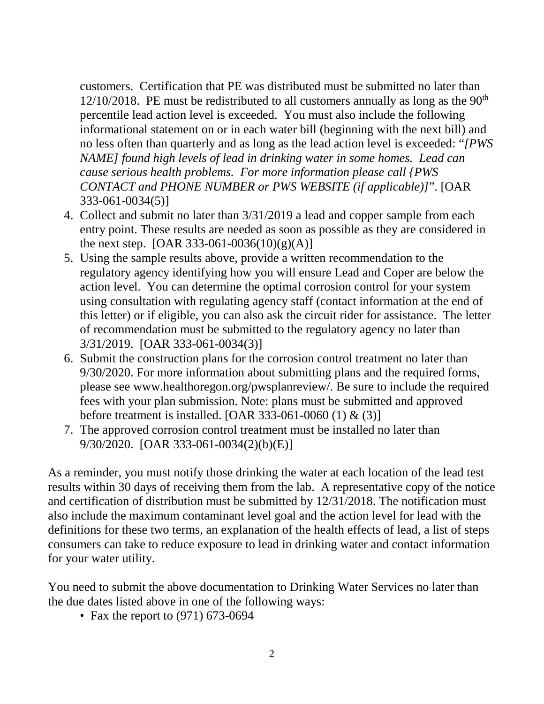customers. Certification that PE was distributed must be submitted no later than  $12/10/2018$ . PE must be redistributed to all customers annually as long as the 90<sup>th</sup> percentile lead action level is exceeded. You must also include the following informational statement on or in each water bill (beginning with the next bill) and no less often than quarterly and as long as the lead action level is exceeded: "*[PWS NAME] found high levels of lead in drinking water in some homes. Lead can cause serious health problems. For more information please call {PWS CONTACT and PHONE NUMBER or PWS WEBSITE (if applicable)]*". [OAR 333-061-0034(5)]

- 4. Collect and submit no later than 3/31/2019 a lead and copper sample from each entry point. These results are needed as soon as possible as they are considered in the next step. [OAR 333-061-0036(10)(g)(A)]
- 5. Using the sample results above, provide a written recommendation to the regulatory agency identifying how you will ensure Lead and Coper are below the action level. You can determine the optimal corrosion control for your system using consultation with regulating agency staff (contact information at the end of this letter) or if eligible, you can also ask the circuit rider for assistance. The letter of recommendation must be submitted to the regulatory agency no later than 3/31/2019. [OAR 333-061-0034(3)]
- 6. Submit the construction plans for the corrosion control treatment no later than 9/30/2020. For more information about submitting plans and the required forms, please see www.healthoregon.org/pwsplanreview/. Be sure to include the required fees with your plan submission. Note: plans must be submitted and approved before treatment is installed. [OAR 333-061-0060 (1) & (3)]
- 7. The approved corrosion control treatment must be installed no later than 9/30/2020. [OAR 333-061-0034(2)(b)(E)]

As a reminder, you must notify those drinking the water at each location of the lead test results within 30 days of receiving them from the lab. A representative copy of the notice and certification of distribution must be submitted by 12/31/2018. The notification must also include the maximum contaminant level goal and the action level for lead with the definitions for these two terms, an explanation of the health effects of lead, a list of steps consumers can take to reduce exposure to lead in drinking water and contact information for your water utility.

You need to submit the above documentation to Drinking Water Services no later than the due dates listed above in one of the following ways:

• Fax the report to  $(971)$  673-0694